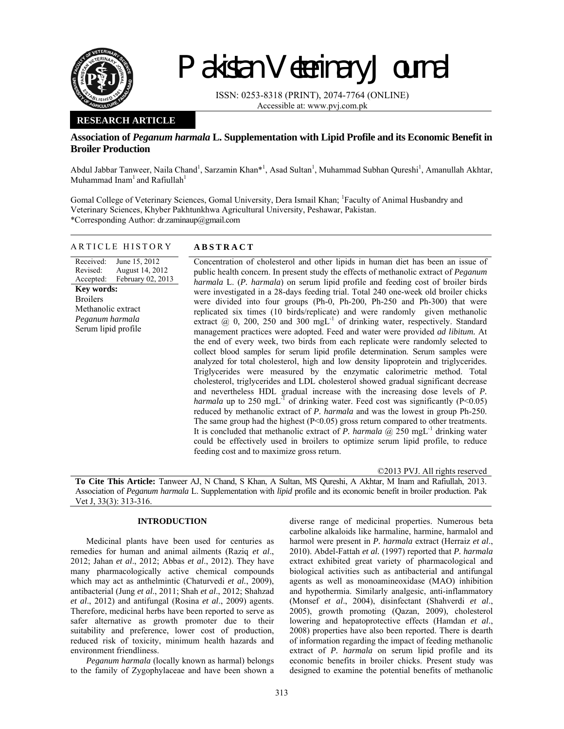

# Pakistan Veterinary Journal

ISSN: 0253-8318 (PRINT), 2074-7764 (ONLINE) Accessible at: www.pvj.com.pk

## **RESEARCH ARTICLE**

## **Association of** *Peganum harmala* **L. Supplementation with Lipid Profile and its Economic Benefit in Broiler Production**

Abdul Jabbar Tanweer, Naila Chand<sup>1</sup>, Sarzamin Khan\*<sup>1</sup>, Asad Sultan<sup>1</sup>, Muhammad Subhan Qureshi<sup>1</sup>, Amanullah Akhtar, Muhammad Inam<sup>1</sup> and Rafiullah<sup>1</sup>

Gomal College of Veterinary Sciences, Gomal University, Dera Ismail Khan; <sup>1</sup>Faculty of Animal Husbandry and Veterinary Sciences, Khyber Pakhtunkhwa Agricultural University, Peshawar, Pakistan. \*Corresponding Author: dr.zaminaup@gmail.com

### ARTICLE HISTORY **ABSTRACT**

Received: Revised: Accepted: June 15, 2012 August 14, 2012 February 02, 2013 **Key words:**  Broilers Methanolic extract *Peganum harmala*  Serum lipid profile

Concentration of cholesterol and other lipids in human diet has been an issue of public health concern. In present study the effects of methanolic extract of *Peganum harmala* L. (*P. harmala*) on serum lipid profile and feeding cost of broiler birds were investigated in a 28-days feeding trial. Total 240 one-week old broiler chicks were divided into four groups (Ph-0, Ph-200, Ph-250 and Ph-300) that were replicated six times (10 birds/replicate) and were randomly given methanolic extract  $(2, 0, 200, 250, 300, \text{mgL}^{-1})$  of drinking water, respectively. Standard management practices were adopted. Feed and water were provided *ad libitum.* At the end of every week, two birds from each replicate were randomly selected to collect blood samples for serum lipid profile determination. Serum samples were analyzed for total cholesterol, high and low density lipoprotein and triglycerides. Triglycerides were measured by the enzymatic calorimetric method. Total cholesterol, triglycerides and LDL cholesterol showed gradual significant decrease and nevertheless HDL gradual increase with the increasing dose levels of *P. harmala* up to 250 mgL<sup>-1</sup> of drinking water. Feed cost was significantly (P<0.05) reduced by methanolic extract of *P. harmala* and was the lowest in group Ph-250. The same group had the highest  $(P<0.05)$  gross return compared to other treatments. It is concluded that methanolic extract of *P. harmala*  $(a)$  250 mgL<sup>-1</sup> drinking water could be effectively used in broilers to optimize serum lipid profile, to reduce feeding cost and to maximize gross return.

©2013 PVJ. All rights reserved

**To Cite This Article:** Tanweer AJ, N Chand, S Khan, A Sultan, MS Qureshi, A Akhtar, M Inam and Rafiullah, 2013. Association of *Peganum harmala* L. Supplementation with *lipid* profile and its economic benefit in broiler production. Pak Vet J, 33(3): 313-316.

## **INTRODUCTION**

Medicinal plants have been used for centuries as remedies for human and animal ailments (Raziq *et al*., 2012; Jahan *et al*., 2012; Abbas *et al*., 2012). They have many pharmacologically active chemical compounds which may act as anthelmintic (Chaturvedi *et al.*, 2009), antibacterial (Jung *et al*., 2011; Shah *et al*., 2012; Shahzad *et al*., 2012) and antifungal (Rosina *et al*., 2009) agents. Therefore, medicinal herbs have been reported to serve as safer alternative as growth promoter due to their suitability and preference, lower cost of production, reduced risk of toxicity, minimum health hazards and environment friendliness.

*Peganum harmala* (locally known as harmal) belongs to the family of Zygophylaceae and have been shown a diverse range of medicinal properties. Numerous beta carboline alkaloids like harmaline, harmine, harmalol and harmol were present in *P. harmala* extract (Herraiz *et al*., 2010). Abdel-Fattah *et al.* (1997) reported that *P. harmala* extract exhibited great variety of pharmacological and biological activities such as antibacterial and antifungal agents as well as monoamineoxidase (MAO) inhibition and hypothermia. Similarly analgesic, anti-inflammatory (Monsef *et al*., 2004), disinfectant (Shahverdi *et al*., 2005), growth promoting (Qazan, 2009), cholesterol lowering and hepatoprotective effects (Hamdan *et al*., 2008) properties have also been reported. There is dearth of information regarding the impact of feeding methanolic extract of *P. harmala* on serum lipid profile and its economic benefits in broiler chicks. Present study was designed to examine the potential benefits of methanolic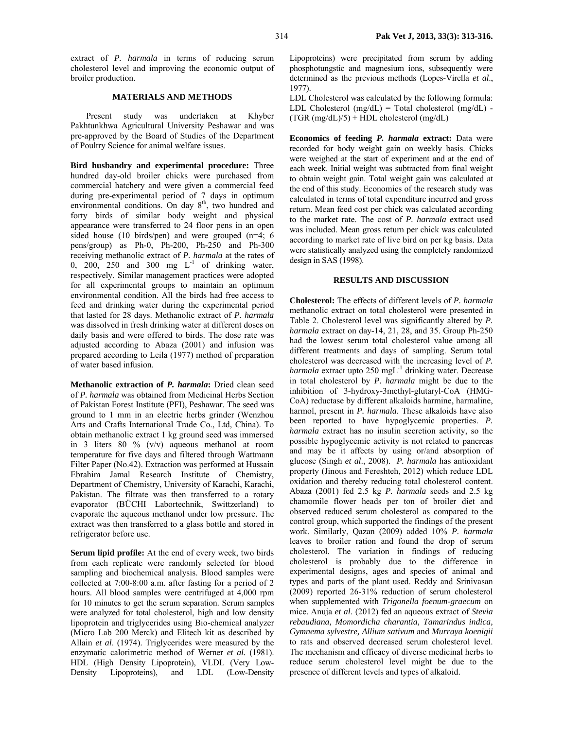extract of *P. harmala* in terms of reducing serum cholesterol level and improving the economic output of broiler production.

#### **MATERIALS AND METHODS**

Present study was undertaken at Khyber Pakhtunkhwa Agricultural University Peshawar and was pre-approved by the Board of Studies of the Department of Poultry Science for animal welfare issues.

**Bird husbandry and experimental procedure:** Three hundred day-old broiler chicks were purchased from commercial hatchery and were given a commercial feed during pre-experimental period of 7 days in optimum environmental conditions. On day 8<sup>th</sup>, two hundred and forty birds of similar body weight and physical appearance were transferred to 24 floor pens in an open sided house (10 birds/pen) and were grouped (n=4; 6 pens/group) as Ph-0, Ph-200, Ph-250 and Ph-300 receiving methanolic extract of *P. harmala* at the rates of 0, 200, 250 and 300 mg  $L^{-1}$  of drinking water, respectively. Similar management practices were adopted for all experimental groups to maintain an optimum environmental condition. All the birds had free access to feed and drinking water during the experimental period that lasted for 28 days. Methanolic extract of *P. harmala* was dissolved in fresh drinking water at different doses on daily basis and were offered to birds. The dose rate was adjusted according to Abaza (2001) and infusion was prepared according to Leila (1977) method of preparation of water based infusion.

**Methanolic extraction of** *P. harmala***:** Dried clean seed of *P. harmala* was obtained from Medicinal Herbs Section of Pakistan Forest Institute (PFI), Peshawar. The seed was ground to 1 mm in an electric herbs grinder (Wenzhou Arts and Crafts International Trade Co., Ltd, China). To obtain methanolic extract 1 kg ground seed was immersed in 3 liters 80 % (v/v) aqueous methanol at room temperature for five days and filtered through Wattmann Filter Paper (No.42). Extraction was performed at Hussain Ebrahim Jamal Research Institute of Chemistry, Department of Chemistry, University of Karachi, Karachi, Pakistan. The filtrate was then transferred to a rotary evaporator (BÜCHI Labortechnik, Swittzerland) to evaporate the aqueous methanol under low pressure. The extract was then transferred to a glass bottle and stored in refrigerator before use.

**Serum lipid profile:** At the end of every week, two birds from each replicate were randomly selected for blood sampling and biochemical analysis. Blood samples were collected at 7:00-8:00 a.m. after fasting for a period of 2 hours. All blood samples were centrifuged at 4,000 rpm for 10 minutes to get the serum separation. Serum samples were analyzed for total cholesterol, high and low density lipoprotein and triglycerides using Bio-chemical analyzer (Micro Lab 200 Merck) and Elitech kit as described by Allain *et al*. (1974). Triglycerides were measured by the enzymatic calorimetric method of Werner *et al.* (1981). HDL (High Density Lipoprotein), VLDL (Very Low-Density Lipoproteins), and LDL (Low-Density Lipoproteins) were precipitated from serum by adding phosphotungstic and magnesium ions, subsequently were determined as the previous methods (Lopes-Virella *et al*., 1977).

LDL Cholesterol was calculated by the following formula: LDL Cholesterol  $(mg/dL)$  = Total cholesterol  $(mg/dL)$  - $(TGR (mg/dL)/5) + HDL$  cholesterol  $(mg/dL)$ 

**Economics of feeding** *P. harmala* **extract:** Data were recorded for body weight gain on weekly basis. Chicks were weighed at the start of experiment and at the end of each week. Initial weight was subtracted from final weight to obtain weight gain. Total weight gain was calculated at the end of this study. Economics of the research study was calculated in terms of total expenditure incurred and gross return. Mean feed cost per chick was calculated according to the market rate. The cost of *P. harmala* extract used was included. Mean gross return per chick was calculated according to market rate of live bird on per kg basis. Data were statistically analyzed using the completely randomized design in SAS (1998).

#### **RESULTS AND DISCUSSION**

**Cholesterol:** The effects of different levels of *P. harmala* methanolic extract on total cholesterol were presented in Table 2. Cholesterol level was significantly altered by *P. harmala* extract on day-14, 21, 28, and 35. Group Ph-250 had the lowest serum total cholesterol value among all different treatments and days of sampling. Serum total cholesterol was decreased with the increasing level of *P. harmala* extract upto 250 mgL<sup>-1</sup> drinking water. Decrease in total cholesterol by *P. harmala* might be due to the inhibition of 3-hydroxy-3methyl-glutaryl-CoA (HMG-CoA) reductase by different alkaloids harmine, harmaline, harmol, present in *P. harmala*. These alkaloids have also been reported to have hypoglycemic properties. *P. harmala* extract has no insulin secretion activity, so the possible hypoglycemic activity is not related to pancreas and may be it affects by using or/and absorption of glucose (Singh *et al*., 2008). *P. harmala* has antioxidant property (Jinous and Fereshteh, 2012) which reduce LDL oxidation and thereby reducing total cholesterol content. Abaza (2001) fed 2.5 kg *P. harmala* seeds and 2.5 kg chamomile flower heads per ton of broiler diet and observed reduced serum cholesterol as compared to the control group, which supported the findings of the present work. Similarly, Qazan (2009) added 10% *P. harmala* leaves to broiler ration and found the drop of serum cholesterol. The variation in findings of reducing cholesterol is probably due to the difference in experimental designs, ages and species of animal and types and parts of the plant used. Reddy and Srinivasan (2009) reported 26-31% reduction of serum cholesterol when supplemented with *Trigonella foenum-graecum* on mice. Anuja *et al*. (2012) fed an aqueous extract of *Stevia rebaudiana, Momordicha charantia, Tamarindus indica, Gymnema sylvestre, Allium sativum* and *Murraya koenigii*  to rats and observed decreased serum cholesterol level. The mechanism and efficacy of diverse medicinal herbs to reduce serum cholesterol level might be due to the presence of different levels and types of alkaloid.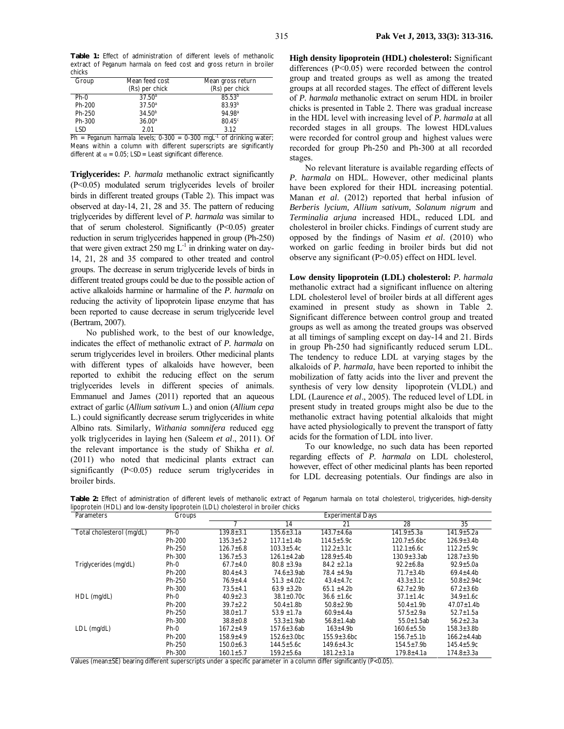**Table 1:** Effect of administration of different levels of methanolic extract of *Peganum harmala* on feed cost and gross return in broiler chicks

| Group      | Mean feed cost     | Mean gross return  |  |  |
|------------|--------------------|--------------------|--|--|
|            | (Rs) per chick     | (Rs) per chick     |  |  |
| $Ph-0$     | $37.50^a$          | $85.53^{b}$        |  |  |
| Ph-200     | 37.50 <sup>a</sup> | 83.93 <sup>b</sup> |  |  |
| Ph-250     | $34.50^{b}$        | 94.98 <sup>a</sup> |  |  |
| Ph-300     | 36.00 <sup>a</sup> | 80.45 <sup>c</sup> |  |  |
| <b>LSD</b> | 2.01               | 3.12               |  |  |

 $Ph = Peganum$  *harmala* levels; 0-300 = 0-300 mgL<sup>-1</sup> of drinking water; Means within a column with different superscripts are significantly different at  $\alpha$  = 0.05; LSD= Least significant difference.

**Triglycerides:** *P. harmala* methanolic extract significantly (P<0.05) modulated serum triglycerides levels of broiler birds in different treated groups (Table 2). This impact was observed at day-14, 21, 28 and 35. The pattern of reducing triglycerides by different level of *P. harmala* was similar to that of serum cholesterol. Significantly  $(P<0.05)$  greater reduction in serum triglycerides happened in group (Ph-250) that were given extract 250 mg  $L^{-1}$  in drinking water on day-14, 21, 28 and 35 compared to other treated and control groups. The decrease in serum triglyceride levels of birds in different treated groups could be due to the possible action of active alkaloids harmine or harmaline of the *P. harmala* on reducing the activity of lipoprotein lipase enzyme that has been reported to cause decrease in serum triglyceride level (Bertram, 2007).

No published work, to the best of our knowledge, indicates the effect of methanolic extract of *P. harmala* on serum triglycerides level in broilers. Other medicinal plants with different types of alkaloids have however, been reported to exhibit the reducing effect on the serum triglycerides levels in different species of animals. Emmanuel and James (2011) reported that an aqueous extract of garlic (*Allium sativum* L.) and onion (*Allium cepa* L.) could significantly decrease serum triglycerides in white Albino rats. Similarly, *Withania somnifera* reduced egg yolk triglycerides in laying hen (Saleem *et al*., 2011). Of the relevant importance is the study of Shikha *et al.* (2011) who noted that medicinal plants extract can significantly (P<0.05) reduce serum triglycerides in broiler birds.

**High density lipoprotein (HDL) cholesterol:** Significant differences (P<0.05) were recorded between the control group and treated groups as well as among the treated groups at all recorded stages. The effect of different levels of *P. harmala* methanolic extract on serum HDL in broiler chicks is presented in Table 2. There was gradual increase in the HDL level with increasing level of *P. harmala* at all recorded stages in all groups. The lowest HDLvalues were recorded for control group and highest values were recorded for group Ph-250 and Ph-300 at all recorded stages.

No relevant literature is available regarding effects of *P. harmala* on HDL. However, other medicinal plants have been explored for their HDL increasing potential. Manan *et al*. (2012) reported that herbal infusion of *Berberis lycium, Allium sativum, Solanum nigrum* and *Terminalia arjuna* increased HDL, reduced LDL and cholesterol in broiler chicks. Findings of current study are opposed by the findings of Nasim *et al*. (2010) who worked on garlic feeding in broiler birds but did not observe any significant (P>0.05) effect on HDL level.

**Low density lipoprotein (LDL) cholesterol:** *P. harmala* methanolic extract had a significant influence on altering LDL cholesterol level of broiler birds at all different ages examined in present study as shown in Table 2. Significant difference between control group and treated groups as well as among the treated groups was observed at all timings of sampling except on day-14 and 21. Birds in group Ph-250 had significantly reduced serum LDL. The tendency to reduce LDL at varying stages by the alkaloids of *P. harmala,* have been reported to inhibit the mobilization of fatty acids into the liver and prevent the synthesis of very low density lipoprotein (VLDL) and LDL (Laurence *et al*., 2005). The reduced level of LDL in present study in treated groups might also be due to the methanolic extract having potential alkaloids that might have acted physiologically to prevent the transport of fatty acids for the formation of LDL into liver.

To our knowledge, no such data has been reported regarding effects of *P. harmala* on LDL cholesterol, however, effect of other medicinal plants has been reported for LDL decreasing potentials. Our findings are also in

**Table 2:** Effect of administration of different levels of methanolic extract of *Peganum harmala* on total cholesterol, triglycerides, high-density lipoprotein (HDL) and low-density lipoprotein (LDL) cholesterol in broiler chicks

| Parameters                | Groups | <b>Experimental Days</b> |                   |                    |                    |                   |
|---------------------------|--------|--------------------------|-------------------|--------------------|--------------------|-------------------|
|                           |        |                          | 14                | 21                 | 28                 | 35                |
| Total cholesterol (mg/dL) | $Ph-0$ | $139.8 \pm 3.1$          | $135.6 \pm 3.1a$  | $143.7 + 4.6a$     | $141.9 + 5.3a$     | $141.9 + 5.2a$    |
|                           | Ph-200 | $135.3 + 5.2$            | $117.1 \pm 1.4$ b | $114.5 + 5.9c$     | $120.7 + 5.6$ bc   | $126.9 \pm 3.4 b$ |
|                           | Ph-250 | $126.7 \pm 6.8$          | $103.3 + 5.4c$    | $112.2 \pm 3.1c$   | $112.1 \pm 6.6c$   | $112.2 + 5.9c$    |
|                           | Ph-300 | $136.7 \pm 5.3$          | $126.1 \pm 4.2ab$ | $128.9 \pm 5.4$ b  | $130.9 \pm 3.3$ ab | $128.7 \pm 3.9$ b |
| Triglycerides (mg/dL)     | $Ph-0$ | $67.7 + 4.0$             | $80.8 + 3.9a$     | $84.2 + 2.1a$      | $92.2 + 6.8a$      | $92.9 + 5.0a$     |
|                           | Ph-200 | $80.4 + 4.3$             | 74.6+3.9ab        | 78.4 $\pm$ 4.9a    | $71.7 + 3.4b$      | $69.4 \pm 4.4$    |
|                           | Ph-250 | $76.9 + 4.4$             | $51.3 + 4.02c$    | $43.4 \pm 4.7c$    | $43.3 \pm 3.1c$    | $50.8 \pm 2.94c$  |
|                           | Ph-300 | $73.5 + 4.1$             | $63.9 \pm 3.2b$   | $65.1 \pm 4.2b$    | $62.7 \pm 2.9$ b   | $67.2 \pm 3.6$ b  |
| HDL (mg/dL)               | $Ph-0$ | $40.9 + 2.3$             | $38.1 + 0.70c$    | $36.6 \pm 1.6c$    | $37.1 \pm 1.4c$    | $34.9 \pm 1.6$ C  |
|                           | Ph-200 | $39.7 + 2.2$             | $50.4 + 1.8$ b    | $50.8 + 2.9b$      | $50.4 + 1.9b$      | $47.07 \pm 1.4$ b |
|                           | Ph-250 | $38.0 \pm 1.7$           | $53.9 + 1.7a$     | $60.9 \pm 4.4a$    | $57.5 \pm 2.9a$    | $52.7 \pm 1.5a$   |
|                           | Ph-300 | $38.8 \pm 0.8$           | $53.3 \pm 1.9$ ab | $56.8 \pm 1.4ab$   | $55.0 \pm 1.5$ ab  | $56.2 \pm 2.3a$   |
| $LDL$ (mg/dL)             | $Ph-0$ | $167.2 + 4.9$            | $157.6 + 3.6ab$   | $163 + 4.9b$       | 160.6+5.5b         | $158.3 \pm 3.8$ b |
|                           | Ph-200 | 158.9+4.9                | 152.6±3.0bc       | $155.9 \pm 3.6$ bc | 156.7+5.1b         | $166.2 + 4.4ab$   |
|                           | Ph-250 | 150.0±6.3                | 144.5±5.6c        | $149.6 \pm 4.3c$   | $154.5 \pm 7.9$ b  | $145.4 \pm 5.9c$  |
|                           | Ph-300 | $160.1 + 5.7$            | $159.2 + 5.6a$    | $181.2 \pm 3.1a$   | $179.8 + 4.1a$     | $174.8 \pm 3.3a$  |

Values (mean±SE) bearing different superscripts under a specific parameter in a column differ significantly (P<0.05).